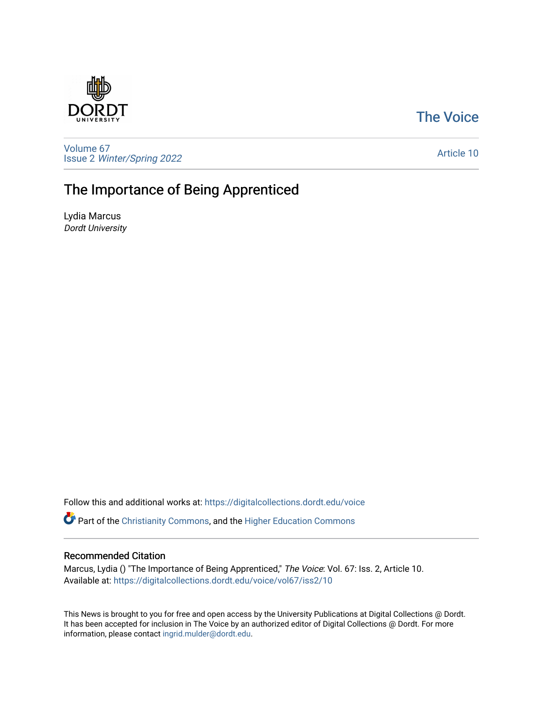## [The Voice](https://digitalcollections.dordt.edu/voice)



[Volume 67](https://digitalcollections.dordt.edu/voice/vol67) Issue 2 [Winter/Spring 2022](https://digitalcollections.dordt.edu/voice/vol67/iss2) 

#### [Article 10](https://digitalcollections.dordt.edu/voice/vol67/iss2/10)

## The Importance of Being Apprenticed

Lydia Marcus Dordt University

Follow this and additional works at: [https://digitalcollections.dordt.edu/voice](https://digitalcollections.dordt.edu/voice?utm_source=digitalcollections.dordt.edu%2Fvoice%2Fvol67%2Fiss2%2F10&utm_medium=PDF&utm_campaign=PDFCoverPages) 

Part of the [Christianity Commons,](http://network.bepress.com/hgg/discipline/1181?utm_source=digitalcollections.dordt.edu%2Fvoice%2Fvol67%2Fiss2%2F10&utm_medium=PDF&utm_campaign=PDFCoverPages) and the [Higher Education Commons](http://network.bepress.com/hgg/discipline/1245?utm_source=digitalcollections.dordt.edu%2Fvoice%2Fvol67%2Fiss2%2F10&utm_medium=PDF&utm_campaign=PDFCoverPages) 

### Recommended Citation

Marcus, Lydia () "The Importance of Being Apprenticed," The Voice: Vol. 67: Iss. 2, Article 10. Available at: [https://digitalcollections.dordt.edu/voice/vol67/iss2/10](https://digitalcollections.dordt.edu/voice/vol67/iss2/10?utm_source=digitalcollections.dordt.edu%2Fvoice%2Fvol67%2Fiss2%2F10&utm_medium=PDF&utm_campaign=PDFCoverPages)

This News is brought to you for free and open access by the University Publications at Digital Collections @ Dordt. It has been accepted for inclusion in The Voice by an authorized editor of Digital Collections @ Dordt. For more information, please contact [ingrid.mulder@dordt.edu.](mailto:ingrid.mulder@dordt.edu)